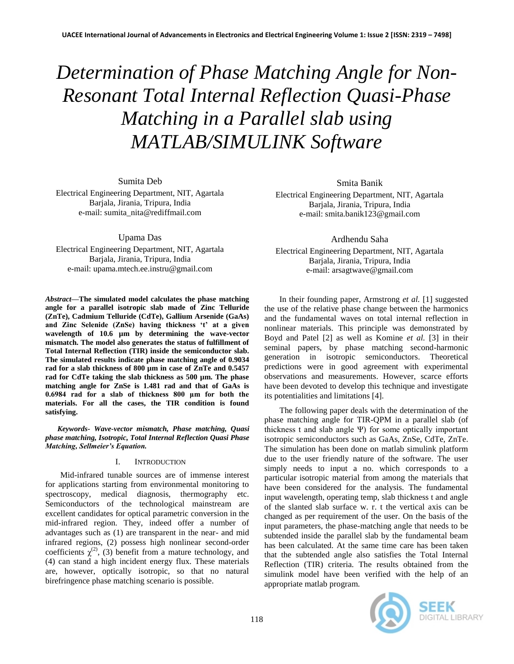# *Determination of Phase Matching Angle for Non-Resonant Total Internal Reflection Quasi-Phase Matching in a Parallel slab using MATLAB/SIMULINK Software*

Sumita Deb

Electrical Engineering Department, NIT, Agartala Barjala, Jirania, Tripura, India e-mail: sumita\_nita@rediffmail.com

Upama Das

Electrical Engineering Department, NIT, Agartala Barjala, Jirania, Tripura, India e-mail: upama.mtech.ee.instru@gmail.com

*Abstract***—The simulated model calculates the phase matching angle for a parallel isotropic slab made of Zinc Telluride (ZnTe), Cadmium Telluride (CdTe), Gallium Arsenide (GaAs) and Zinc Selenide (ZnSe) having thickness 't' at a given wavelength of 10.6 µm by determining the wave-vector mismatch. The model also generates the status of fulfillment of Total Internal Reflection (TIR) inside the semiconductor slab. The simulated results indicate phase matching angle of 0.9034 rad for a slab thickness of 800 µm in case of ZnTe and 0.5457 rad for CdTe taking the slab thickness as 500 µm. The phase matching angle for ZnSe is 1.481 rad and that of GaAs is 0.6984 rad for a slab of thickness 800 μm for both the materials. For all the cases, the TIR condition is found satisfying.** 

*Keywords- Wave-vector mismatch, Phase matching, Quasi phase matching, Isotropic, Total Internal Reflection Quasi Phase Matching, Sellmeier's Equation.*

# I. INTRODUCTION

Mid-infrared tunable sources are of immense interest for applications starting from environmental monitoring to spectroscopy, medical diagnosis, thermography etc. Semiconductors of the technological mainstream are excellent candidates for optical parametric conversion in the mid-infrared region. They, indeed offer a number of advantages such as (1) are transparent in the near- and mid infrared regions, (2) possess high nonlinear second-order coefficients  $\chi^{(2)}$ , (3) benefit from a mature technology, and (4) can stand a high incident energy flux. These materials are, however, optically isotropic, so that no natural birefringence phase matching scenario is possible.

Smita Banik

Electrical Engineering Department, NIT, Agartala Barjala, Jirania, Tripura, India e-mail: smita.banik123@gmail.com

Ardhendu Saha

Electrical Engineering Department, NIT, Agartala Barjala, Jirania, Tripura, India e-mail: arsagtwave@gmail.com

In their founding paper, Armstrong *et al.* [1] suggested the use of the relative phase change between the harmonics and the fundamental waves on total internal reflection in nonlinear materials. This principle was demonstrated by Boyd and Patel [2] as well as Komine *et al.* [3] in their seminal papers, by phase matching second-harmonic generation in isotropic semiconductors. Theoretical predictions were in good agreement with experimental observations and measurements. However, scarce efforts have been devoted to develop this technique and investigate its potentialities and limitations [4].

The following paper deals with the determination of the phase matching angle for TIR-QPM in a parallel slab (of thickness t and slab angle Ψ) for some optically important isotropic semiconductors such as GaAs, ZnSe, CdTe, ZnTe. The simulation has been done on matlab simulink platform due to the user friendly nature of the software. The user simply needs to input a no. which corresponds to a particular isotropic material from among the materials that have been considered for the analysis. The fundamental input wavelength, operating temp, slab thickness t and angle of the slanted slab surface w. r. t the vertical axis can be changed as per requirement of the user. On the basis of the input parameters, the phase-matching angle that needs to be subtended inside the parallel slab by the fundamental beam has been calculated. At the same time care has been taken that the subtended angle also satisfies the Total Internal Reflection (TIR) criteria. The results obtained from the simulink model have been verified with the help of an appropriate matlab program.

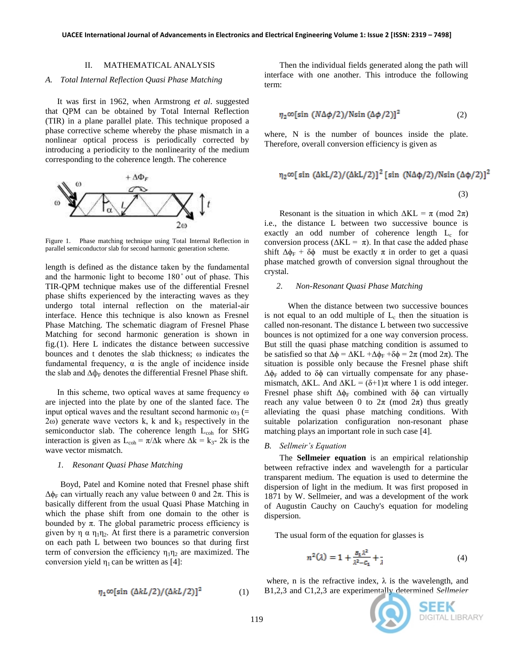## II. MATHEMATICAL ANALYSIS

## *A. Total Internal Reflection Quasi Phase Matching*

It was first in 1962, when Armstrong *et al*. suggested that QPM can be obtained by Total Internal Reflection (TIR) in a plane parallel plate. This technique proposed a phase corrective scheme whereby the phase mismatch in a nonlinear optical process is periodically corrected by introducing a periodicity to the nonlinearity of the medium corresponding to the coherence length. The coherence



Figure 1. Phase matching technique using Total Internal Reflection in parallel semiconductor slab for second harmonic generation scheme.

length is defined as the distance taken by the fundamental and the harmonic light to become 180° out of phase. This TIR-QPM technique makes use of the differential Fresnel phase shifts experienced by the interacting waves as they undergo total internal reflection on the material-air interface. Hence this technique is also known as Fresnel Phase Matching. The schematic diagram of Fresnel Phase Matching for second harmonic generation is shown in fig.(1). Here L indicates the distance between successive bounces and t denotes the slab thickness; ω indicates the fundamental frequency,  $\alpha$  is the angle of incidence inside the slab and  $\Delta \phi_F$  denotes the differential Fresnel Phase shift.

In this scheme, two optical waves at same frequency ω are injected into the plate by one of the slanted face. The input optical waves and the resultant second harmonic  $\omega_3$  (=  $2\omega$ ) generate wave vectors k, k and k<sub>3</sub> respectively in the semiconductor slab. The coherence length  $L_{coh}$  for SHG interaction is given as L<sub>coh</sub> =  $\pi/\Delta k$  where  $\Delta k = k_3$ - 2k is the wave vector mismatch.

## *1. Resonant Quasi Phase Matching*

Boyd, Patel and Komine noted that Fresnel phase shift  $\Delta \phi_F$  can virtually reach any value between 0 and  $2\pi$ . This is basically different from the usual Quasi Phase Matching in which the phase shift from one domain to the other is bounded by  $\pi$ . The global parametric process efficiency is given by  $\eta$   $\alpha$   $\eta_1 \eta_2$ . At first there is a parametric conversion on each path L between two bounces so that during first term of conversion the efficiency  $\eta_1 \eta_2$  are maximized. The conversion yield  $\eta_1$  can be written as [4]:

$$
\eta_1 \infty [\sin (\Delta k L/2) / (\Delta k L/2)]^2 \tag{1}
$$

Then the individual fields generated along the path will interface with one another. This introduce the following term:

$$
\eta_2 \infty[\sin (N\Delta\phi/2)/\text{N}\sin (\Delta\phi/2)]^2 \tag{2}
$$

where, N is the number of bounces inside the plate. Therefore, overall conversion efficiency is given as

$$
\eta_2 \infty[\sin (\Delta k L/2) / (\Delta k L/2)]^2 [\sin (\Delta \phi/2) / N \sin (\Delta \phi/2)]^2
$$
\n(3)

Resonant is the situation in which  $\Delta KL = \pi \pmod{2\pi}$ i.e., the distance L between two successive bounce is exactly an odd number of coherence length  $L_c$  for conversion process ( $ΔKL = π$ ). In that case the added phase shift  $\Delta \phi_F + \delta \phi$  must be exactly  $\pi$  in order to get a quasi phase matched growth of conversion signal throughout the crystal.

### *2. Non-Resonant Quasi Phase Matching*

 When the distance between two successive bounces is not equal to an odd multiple of  $L_c$  then the situation is called non-resonant. The distance L between two successive bounces is not optimized for a one way conversion process. But still the quasi phase matching condition is assumed to be satisfied so that  $\Delta \phi = \Delta KL + \Delta \phi_F + \delta \phi = 2\pi \pmod{2\pi}$ . The situation is possible only because the Fresnel phase shift  $Δφ<sub>F</sub>$  added to δ $φ$  can virtually compensate for any phasemismatch,  $\Delta KL$ . And  $\Delta KL = (\delta + 1)\pi$  where 1 is odd integer. Fresnel phase shift  $\Delta \phi_F$  combined with  $\delta \phi$  can virtually reach any value between 0 to  $2\pi$  (mod  $2\pi$ ) thus greatly alleviating the quasi phase matching conditions. With suitable polarization configuration non-resonant phase matching plays an important role in such case [4].

#### *B. Sellmeir's Equation*

The **Sellmeier equation** is an empirical relationship between refractive index and wavelength for a particular transparent medium. The equation is used to determine the dispersion of light in the medium. It was first proposed in 1871 by W. Sellmeier, and was a development of the work of Augustin Cauchy on Cauchy's equation for modeling dispersion.

The usual form of the equation for glasses is

$$
n^{2}(\lambda) = 1 + \frac{B_{1}\lambda^{2}}{\lambda^{2} - C_{1}} + \frac{1}{\lambda}
$$
 (4)

where, n is the refractive index,  $\lambda$  is the wavelength, and B1,2,3 and C1,2,3 are experimentally determined *Sellmeier* 

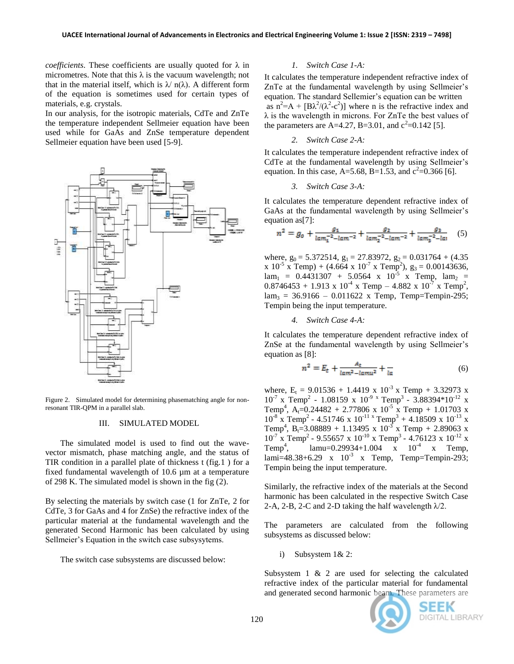*coefficients*. These coefficients are usually quoted for λ in micrometres. Note that this  $\lambda$  is the vacuum wavelength; not that in the material itself, which is  $\lambda$  n( $\lambda$ ). A different form of the equation is sometimes used for certain types of materials, e.g. crystals.

In our analysis, for the isotropic materials, CdTe and ZnTe the temperature independent Sellmeier equation have been used while for GaAs and ZnSe temperature dependent Sellmeier equation have been used [5-9].



Figure 2. Simulated model for determining phasematching angle for nonresonant TIR-QPM in a parallel slab.

## III. SIMULATED MODEL

The simulated model is used to find out the wavevector mismatch, phase matching angle, and the status of TIR condition in a parallel plate of thickness t (fig.1 ) for a fixed fundamental wavelength of 10.6 µm at a temperature of 298 K. The simulated model is shown in the fig (2).

By selecting the materials by switch case (1 for ZnTe, 2 for CdTe, 3 for GaAs and 4 for ZnSe) the refractive index of the particular material at the fundamental wavelength and the generated Second Harmonic has been calculated by using Sellmeier's Equation in the switch case subsysytems.

The switch case subsystems are discussed below:

## *1. Switch Case 1-A:*

It calculates the temperature independent refractive index of ZnTe at the fundamental wavelength by using Sellmeier's equation. The standard Sellemier's equation can be written as  $n^2 = A + [B\lambda^2/(\lambda^2 - c^2)]$  where n is the refractive index and  $\lambda$  is the wavelength in microns. For ZnTe the best values of the parameters are A=4.27, B=3.01, and  $c^2$ =0.142 [5].

## *2. Switch Case 2-A:*

It calculates the temperature independent refractive index of CdTe at the fundamental wavelength by using Sellmeier"s equation. In this case, A=5.68, B=1.53, and  $c^2$ =0.366 [6].

## *3. Switch Case 3-A:*

It calculates the temperature dependent refractive index of GaAs at the fundamental wavelength by using Sellmeier's equation as[7]:

$$
n^{2} = g_{o} + \frac{g_{1}}{\tan_{1}^{-2} - \tan^{-2}} + \frac{g_{2}}{\tan_{2}^{-2} - \tan^{-2}} + \frac{g_{3}}{\tan_{3}^{-2} - \tan} \tag{5}
$$

where,  $g_0 = 5.372514$ ,  $g_1 = 27.83972$ ,  $g_2 = 0.031764 + (4.35$  $x 10^{-5}$  x Temp) + (4.664 x 10<sup>-7</sup> x Temp<sup>2</sup>), g<sub>3</sub> = 0.00143636,  $\text{lam}_1 = 0.4431307 + 5.0564 \times 10^{-5} \times \text{Temp}, \text{ lam}_2 =$  $0.8746453 + 1.913 \times 10^{-4} \times$  Temp  $- 4.882 \times 10^{-7} \times$  Temp<sup>2</sup>,  $lam_3 = 36.9166 - 0.011622$  x Temp, Temp=Tempin-295; Tempin being the input temperature.

*4. Switch Case 4-A:*

It calculates the temperature dependent refractive index of ZnSe at the fundamental wavelength by using Sellmeier's equation as [8]:

$$
n^2 = E_t + \frac{A_t}{\lg m^2 - \lg m u^2} + \frac{1}{\lg n} \tag{6}
$$

where,  $E_t = 9.01536 + 1.4419 \times 10^{-3} \times$  Temp + 3.32973 x  $10^{-7}$  x Temp<sup>2</sup> - 1.08159 x  $10^{-9}$  x Temp<sup>3</sup> - 3.88394\*10<sup>-12</sup> x Temp<sup>4</sup>, A<sub>t</sub>=0.24482 + 2.77806 x 10<sup>-5</sup> x Temp + 1.01703 x  $10^{-8}$  x Temp<sup>2</sup> - 4.51746 x  $10^{-11}$  x Temp<sup>3</sup> + 4.18509 x  $10^{-13}$  x Temp<sup>4</sup>, B<sub>t</sub>=3.08889 + 1.13495 x 10<sup>-3</sup> x Temp + 2.89063 x  $10^{-7}$  x Temp<sup>2</sup> - 9.55657 x  $10^{-10}$  x Temp<sup>3</sup> - 4.76123 x  $10^{-12}$  x  $Temp<sup>4</sup>$ ,  $\lambda$ , lamu=0.29934+1.004  $\bar{x}$  10<sup>-4</sup> x Temp,  $\text{Iami=48.38+6.29}$  x  $10^{-3}$  x Temp, Temp=Tempin-293; Tempin being the input temperature.

Similarly, the refractive index of the materials at the Second harmonic has been calculated in the respective Switch Case 2-A, 2-B, 2-C and 2-D taking the half wavelength  $\lambda$ /2.

The parameters are calculated from the following subsystems as discussed below:

i) Subsystem 1& 2:

Subsystem 1 & 2 are used for selecting the calculated refractive index of the particular material for fundamental and generated second harmonic beam. These parameters are